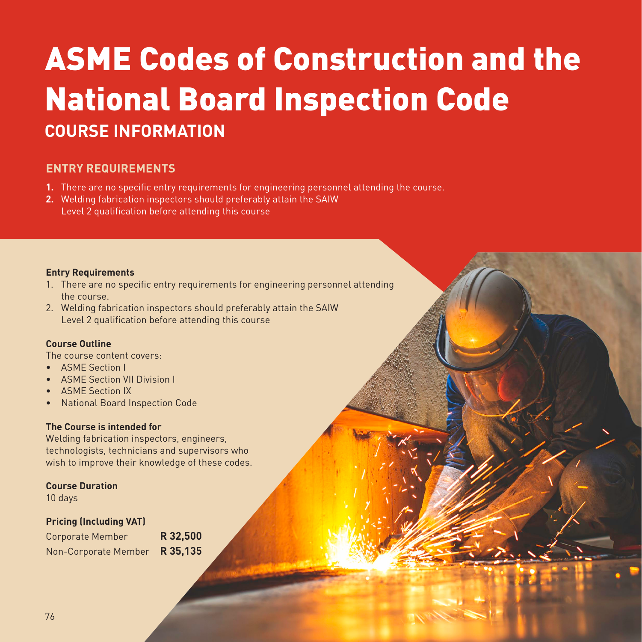# ASME Codes of Construction and the National Board Inspection Code **COURSE INFORMATION**

## **ENTRY REQUIREMENTS**

- **1.** There are no specific entry requirements for engineering personnel attending the course.
- **2.** Welding fabrication inspectors should preferably attain the SAIW Level 2 qualification before attending this course

#### **Entry Requirements**

- 1. There are no specific entry requirements for engineering personnel attending the course.
- 2. Welding fabrication inspectors should preferably attain the SAIW Level 2 qualification before attending this course

#### **Course Outline**

The course content covers:

- ASME Section I
- ASME Section VII Division I
- ASME Section IX
- National Board Inspection Code

#### **The Course is intended for**

Welding fabrication inspectors, engineers, technologists, technicians and supervisors who wish to improve their knowledge of these codes.

#### **Course Duration**

10 days

#### **Pricing (Including VAT)**

| <b>Corporate Member</b> | R 32,500 |  |
|-------------------------|----------|--|
| Non-Corporate Member    | R 35,135 |  |